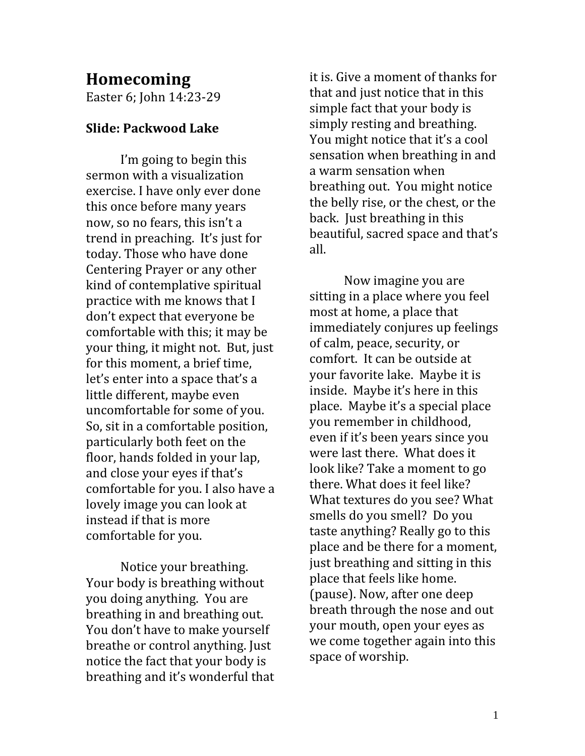## Homecoming

Easter 6; John 14:23-29

## Slide: Packwood Lake

 I'm going to begin this sermon with a visualization exercise. I have only ever done this once before many years now, so no fears, this isn't a trend in preaching. It's just for today. Those who have done Centering Prayer or any other kind of contemplative spiritual practice with me knows that I don't expect that everyone be comfortable with this; it may be your thing, it might not. But, just for this moment, a brief time, let's enter into a space that's a little different, maybe even uncomfortable for some of you. So, sit in a comfortable position, particularly both feet on the floor, hands folded in your lap, and close your eyes if that's comfortable for you. I also have a lovely image you can look at instead if that is more comfortable for you.

 Notice your breathing. Your body is breathing without you doing anything. You are breathing in and breathing out. You don't have to make yourself breathe or control anything. Just notice the fact that your body is breathing and it's wonderful that it is. Give a moment of thanks for that and just notice that in this simple fact that your body is simply resting and breathing. You might notice that it's a cool sensation when breathing in and a warm sensation when breathing out. You might notice the belly rise, or the chest, or the back. Just breathing in this beautiful, sacred space and that's all.

 Now imagine you are sitting in a place where you feel most at home, a place that immediately conjures up feelings of calm, peace, security, or comfort. It can be outside at your favorite lake. Maybe it is inside. Maybe it's here in this place. Maybe it's a special place you remember in childhood, even if it's been years since you were last there. What does it look like? Take a moment to go there. What does it feel like? What textures do you see? What smells do you smell? Do you taste anything? Really go to this place and be there for a moment, just breathing and sitting in this place that feels like home. (pause). Now, after one deep breath through the nose and out your mouth, open your eyes as we come together again into this space of worship.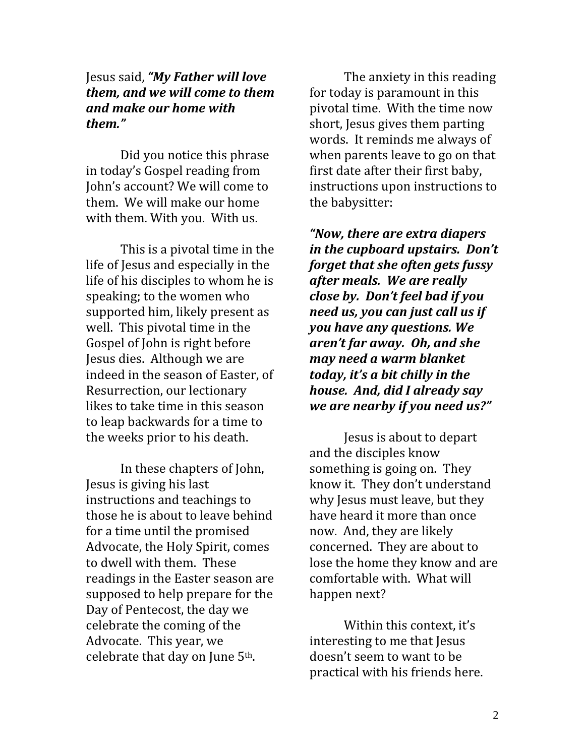## Jesus said, "My Father will love them, and we will come to them and make our home with them."

 Did you notice this phrase in today's Gospel reading from John's account? We will come to them. We will make our home with them. With you. With us.

 This is a pivotal time in the life of Jesus and especially in the life of his disciples to whom he is speaking; to the women who supported him, likely present as well. This pivotal time in the Gospel of John is right before Jesus dies. Although we are indeed in the season of Easter, of Resurrection, our lectionary likes to take time in this season to leap backwards for a time to the weeks prior to his death.

In these chapters of John, Jesus is giving his last instructions and teachings to those he is about to leave behind for a time until the promised Advocate, the Holy Spirit, comes to dwell with them. These readings in the Easter season are supposed to help prepare for the Day of Pentecost, the day we celebrate the coming of the Advocate. This year, we celebrate that day on June 5th.

 The anxiety in this reading for today is paramount in this pivotal time. With the time now short, Jesus gives them parting words. It reminds me always of when parents leave to go on that first date after their first baby, instructions upon instructions to the babysitter:

"Now, there are extra diapers in the cupboard upstairs. Don't forget that she often gets fussy after meals. We are really close by. Don't feel bad if you need us, you can just call us if you have any questions. We aren't far away. Oh, and she may need a warm blanket today, it's a bit chilly in the house. And, did I already say we are nearby if you need us?"

 Jesus is about to depart and the disciples know something is going on. They know it. They don't understand why Jesus must leave, but they have heard it more than once now. And, they are likely concerned. They are about to lose the home they know and are comfortable with. What will happen next?

 Within this context, it's interesting to me that Jesus doesn't seem to want to be practical with his friends here.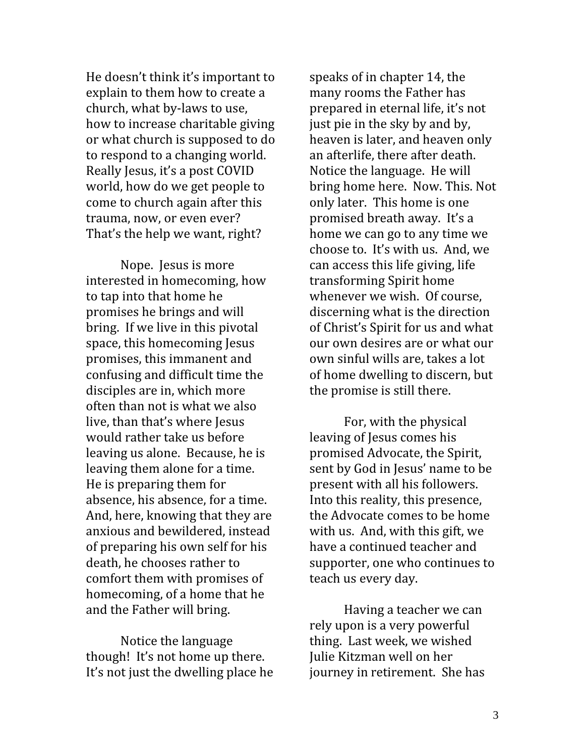He doesn't think it's important to explain to them how to create a church, what by-laws to use, how to increase charitable giving or what church is supposed to do to respond to a changing world. Really Jesus, it's a post COVID world, how do we get people to come to church again after this trauma, now, or even ever? That's the help we want, right?

 Nope. Jesus is more interested in homecoming, how to tap into that home he promises he brings and will bring. If we live in this pivotal space, this homecoming Jesus promises, this immanent and confusing and difficult time the disciples are in, which more often than not is what we also live, than that's where Jesus would rather take us before leaving us alone. Because, he is leaving them alone for a time. He is preparing them for absence, his absence, for a time. And, here, knowing that they are anxious and bewildered, instead of preparing his own self for his death, he chooses rather to comfort them with promises of homecoming, of a home that he and the Father will bring.

 Notice the language though! It's not home up there. It's not just the dwelling place he

speaks of in chapter 14, the many rooms the Father has prepared in eternal life, it's not just pie in the sky by and by, heaven is later, and heaven only an afterlife, there after death. Notice the language. He will bring home here. Now. This. Not only later. This home is one promised breath away. It's a home we can go to any time we choose to. It's with us. And, we can access this life giving, life transforming Spirit home whenever we wish. Of course, discerning what is the direction of Christ's Spirit for us and what our own desires are or what our own sinful wills are, takes a lot of home dwelling to discern, but the promise is still there.

 For, with the physical leaving of Jesus comes his promised Advocate, the Spirit, sent by God in Jesus' name to be present with all his followers. Into this reality, this presence, the Advocate comes to be home with us. And, with this gift, we have a continued teacher and supporter, one who continues to teach us every day.

 Having a teacher we can rely upon is a very powerful thing. Last week, we wished Julie Kitzman well on her journey in retirement. She has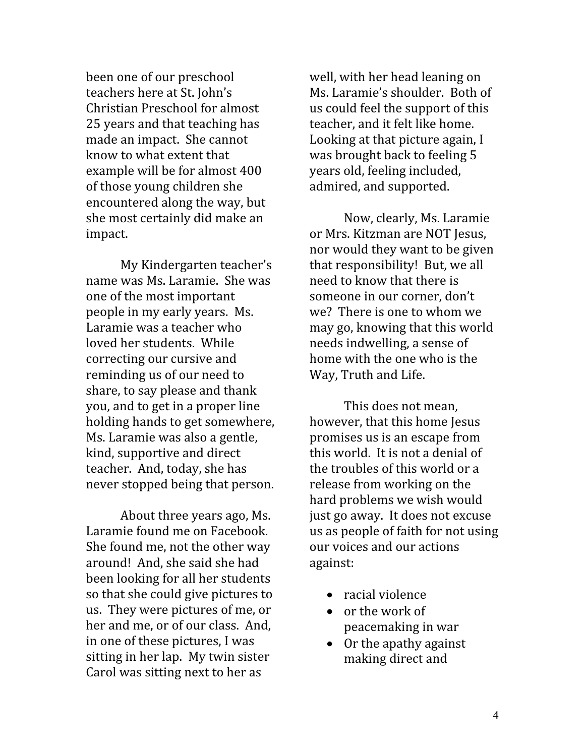been one of our preschool teachers here at St. John's Christian Preschool for almost 25 years and that teaching has made an impact. She cannot know to what extent that example will be for almost 400 of those young children she encountered along the way, but she most certainly did make an impact.

My Kindergarten teacher's name was Ms. Laramie. She was one of the most important people in my early years. Ms. Laramie was a teacher who loved her students. While correcting our cursive and reminding us of our need to share, to say please and thank you, and to get in a proper line holding hands to get somewhere, Ms. Laramie was also a gentle, kind, supportive and direct teacher. And, today, she has never stopped being that person.

About three years ago, Ms. Laramie found me on Facebook. She found me, not the other way around! And, she said she had been looking for all her students so that she could give pictures to us. They were pictures of me, or her and me, or of our class. And, in one of these pictures, I was sitting in her lap. My twin sister Carol was sitting next to her as

well, with her head leaning on Ms. Laramie's shoulder. Both of us could feel the support of this teacher, and it felt like home. Looking at that picture again, I was brought back to feeling 5 years old, feeling included, admired, and supported.

Now, clearly, Ms. Laramie or Mrs. Kitzman are NOT Jesus, nor would they want to be given that responsibility! But, we all need to know that there is someone in our corner, don't we? There is one to whom we may go, knowing that this world needs indwelling, a sense of home with the one who is the Way, Truth and Life.

This does not mean, however, that this home Jesus promises us is an escape from this world. It is not a denial of the troubles of this world or a release from working on the hard problems we wish would just go away. It does not excuse us as people of faith for not using our voices and our actions against:

- racial violence
- $\bullet$  or the work of peacemaking in war
- Or the apathy against making direct and